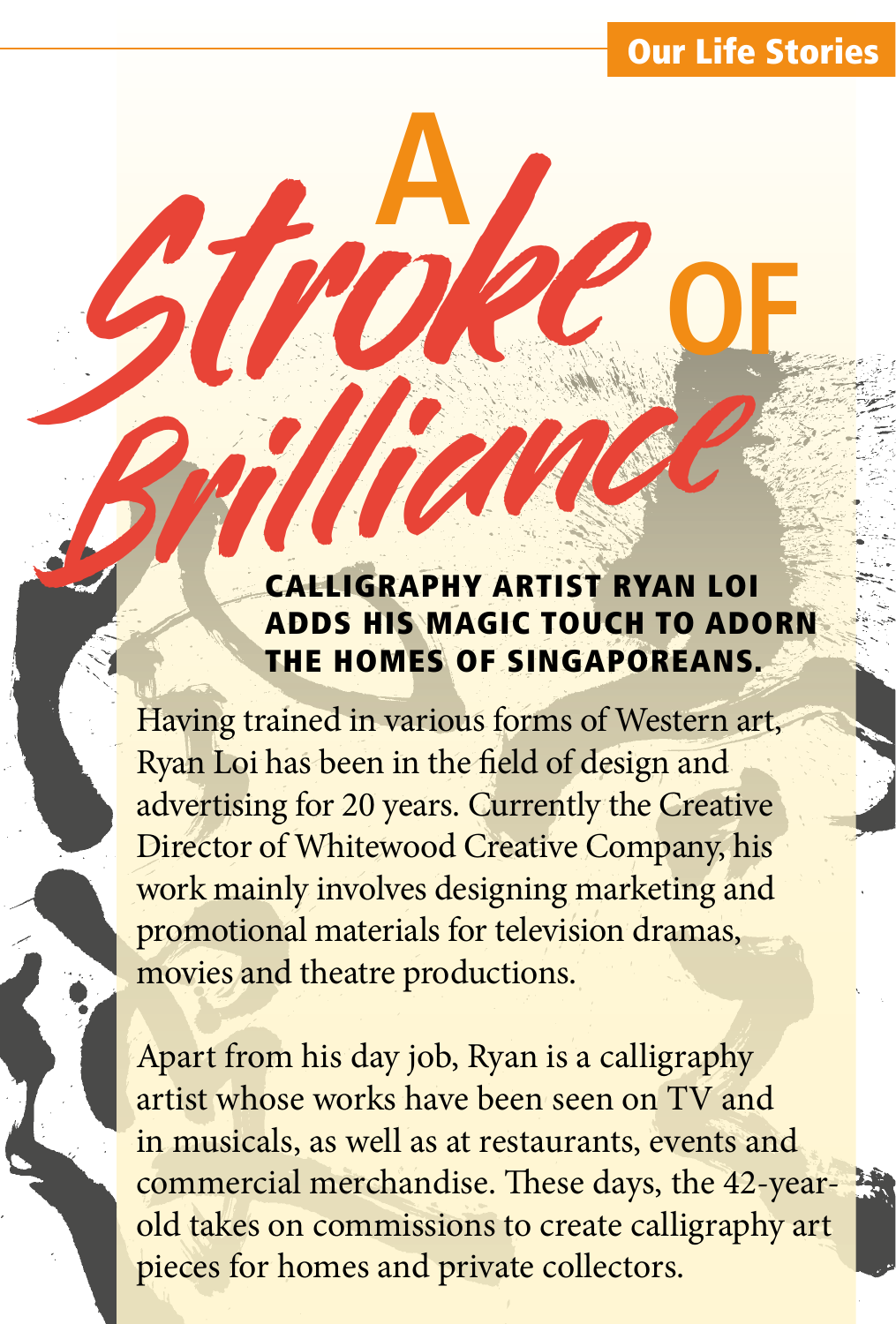#### **Our Life Stories**

# **Brilliance IGRAPHY ARTIST RYAN LOI** ADDS HIS MAGIC TOUCH TO ADORN THE HOMES OF SINGAPOREANS.

Having trained in various forms of Western art, Ryan Loi has been in the field of design and advertising for 20 years. Currently the Creative Director of Whitewood Creative Company, his work mainly involves designing marketing and promotional materials for television dramas, movies and theatre productions.

Stroke **<sup>A</sup>**

Apart from his day job, Ryan is a calligraphy artist whose works have been seen on TV and in musicals, as well as at restaurants, events and commercial merchandise. These days, the 42-yearold takes on commissions to create calligraphy art pieces for homes and private collectors.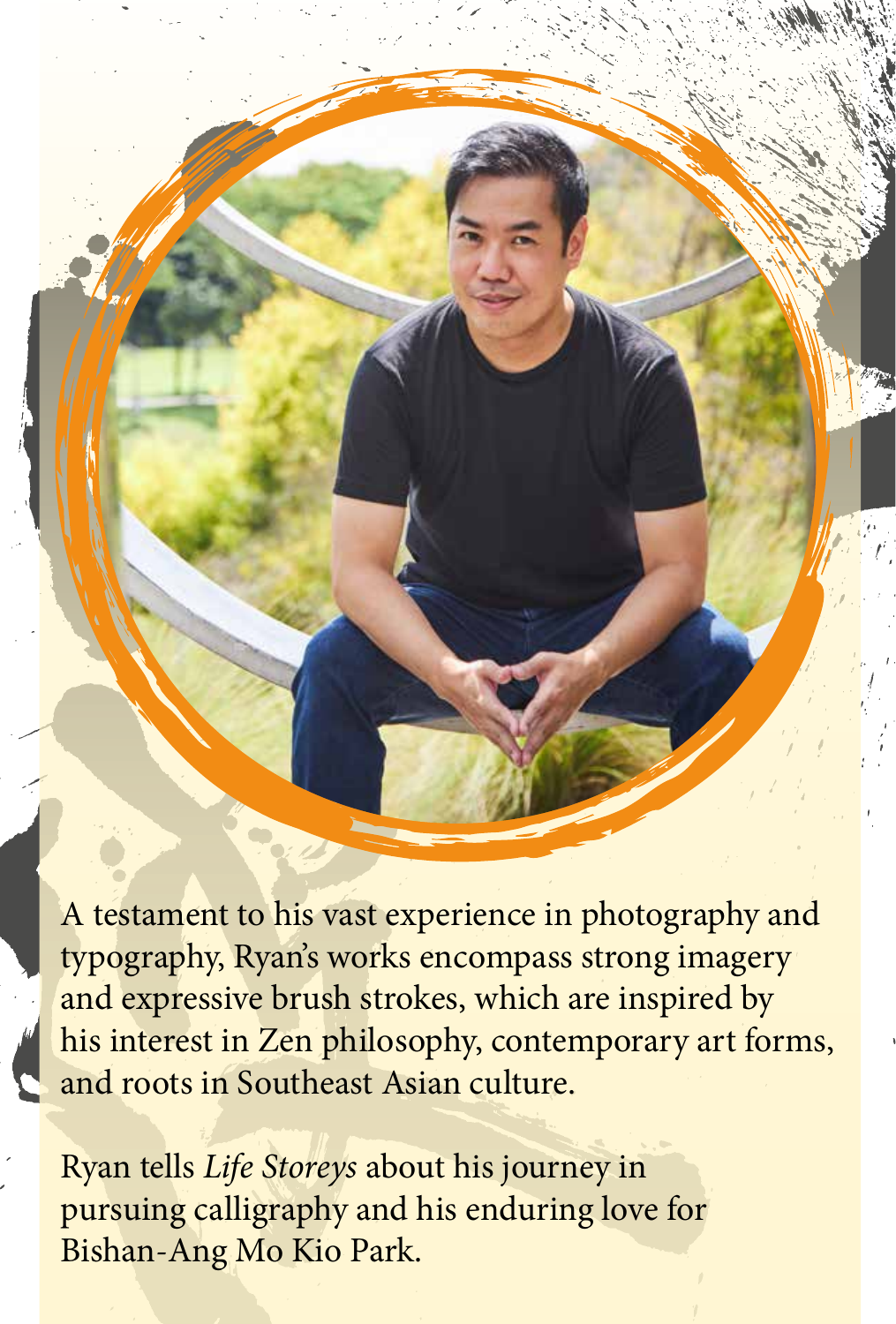A testament to his vast experience in photography and typography, Ryan's works encompass strong imagery and expressive brush strokes, which are inspired by his interest in Zen philosophy, contemporary art forms, and roots in Southeast Asian culture.

Ryan tells *Life Storeys* about his journey in pursuing calligraphy and his enduring love for Bishan-Ang Mo Kio Park.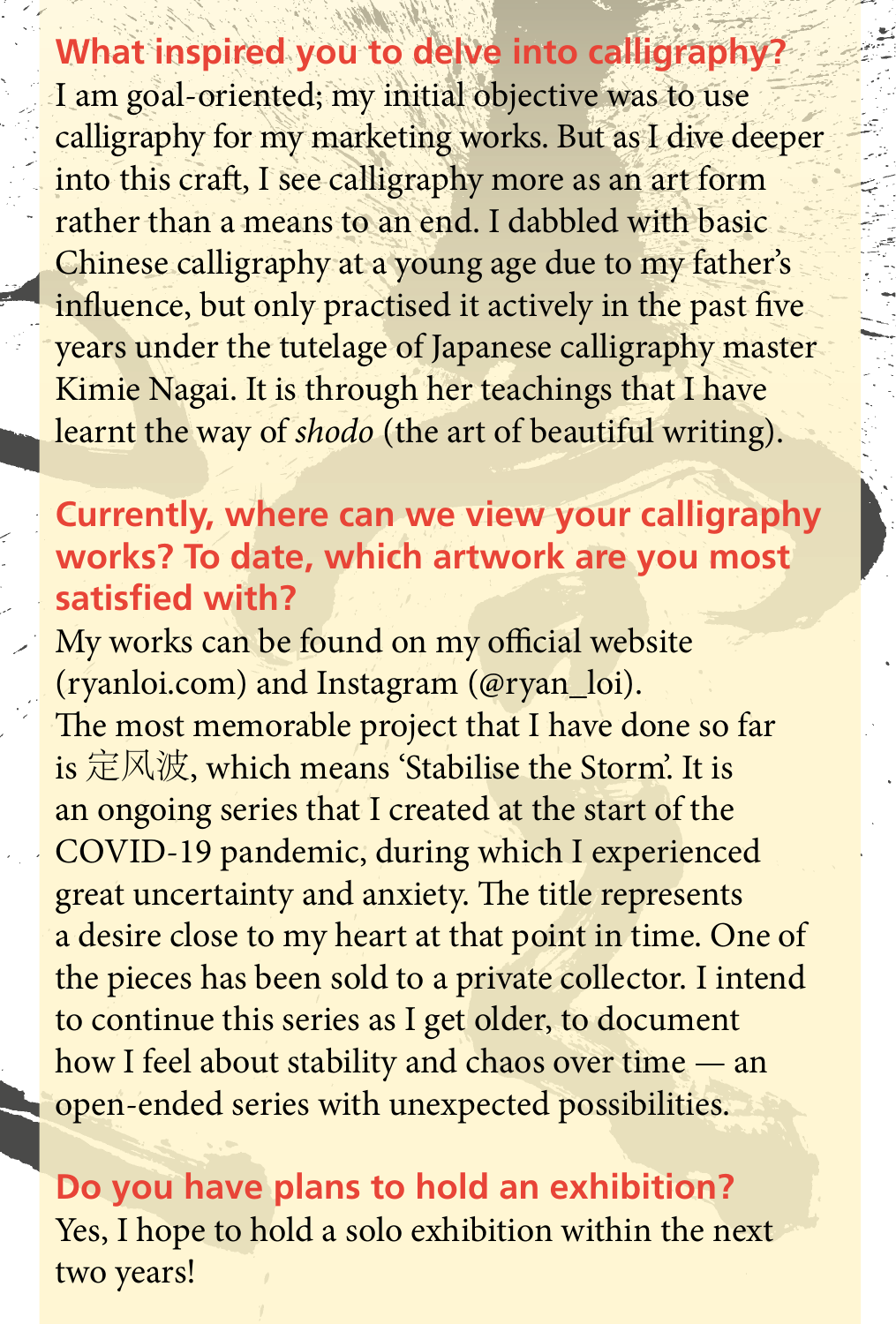**What inspired you to delve into calligraphy?** I am goal-oriented; my initial objective was to use calligraphy for my marketing works. But as I dive deeper into this craft, I see calligraphy more as an art form rather than a means to an end. I dabbled with basic Chinese calligraphy at a young age due to my father's influence, but only practised it actively in the past five years under the tutelage of Japanese calligraphy master Kimie Nagai. It is through her teachings that I have learnt the way of *shodo* (the art of beautiful writing).

#### **Currently, where can we view your calligraphy works? To date, which artwork are you most satisfied with?**

My works can be found on my official website (ryanloi.com) and Instagram (@ryan\_loi). The most memorable project that I have done so far is 定风波, which means 'Stabilise the Storm'. It is an ongoing series that I created at the start of the COVID-19 pandemic, during which I experienced great uncertainty and anxiety. The title represents a desire close to my heart at that point in time. One of the pieces has been sold to a private collector. I intend to continue this series as I get older, to document how I feel about stability and chaos over time — an open-ended series with unexpected possibilities.

**Do you have plans to hold an exhibition?**  Yes, I hope to hold a solo exhibition within the next two years!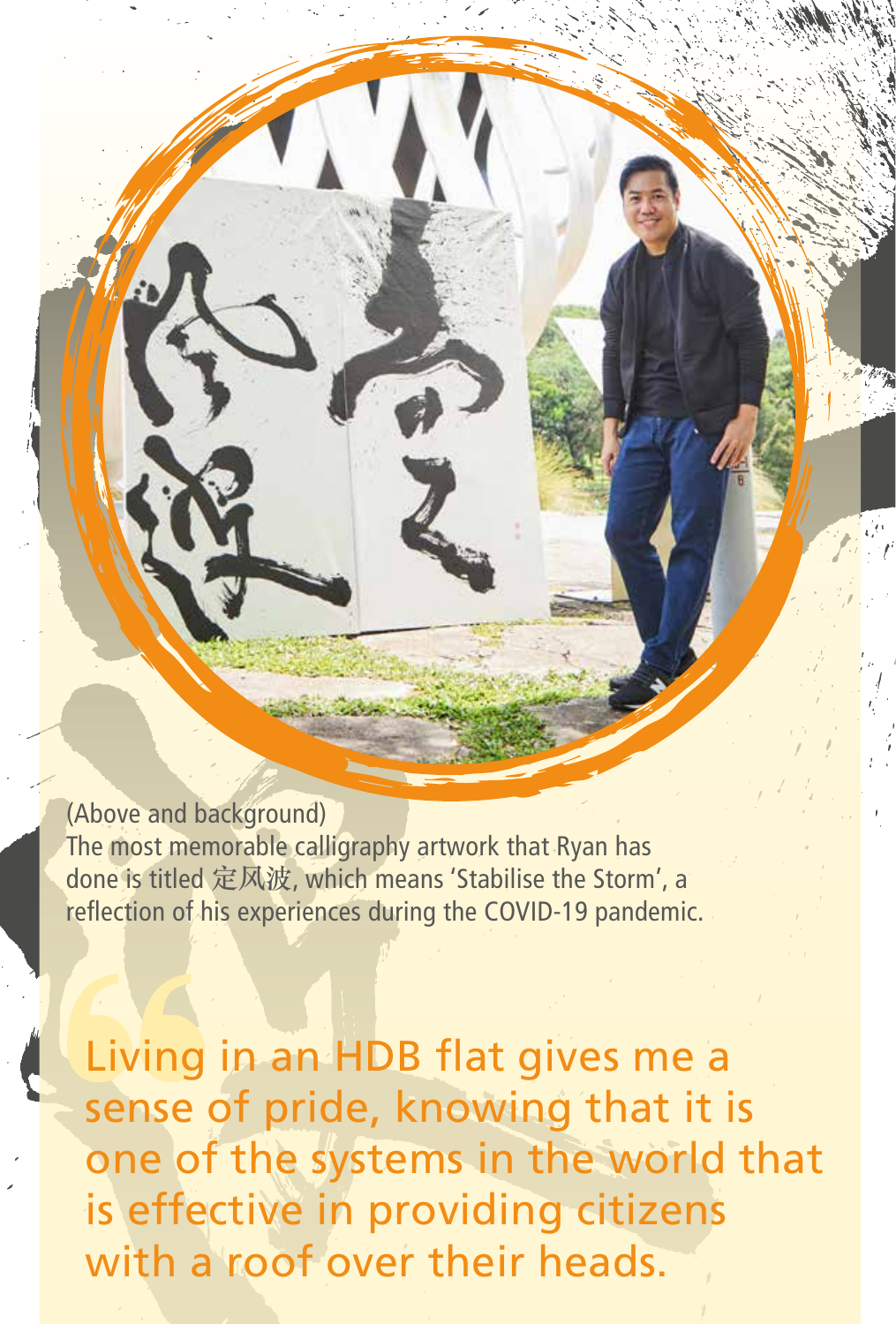(Above and background) The most memorable calligraphy artwork that Ryan has done is titled **定风波**, which means 'Stabilise the Storm', a reflection of his experiences during the COVID-19 pandemic.

Living in an HDB flat gives me a sense of pride, knowing that it is one of the systems in the world that is effective in providing citizens with a roof over their heads.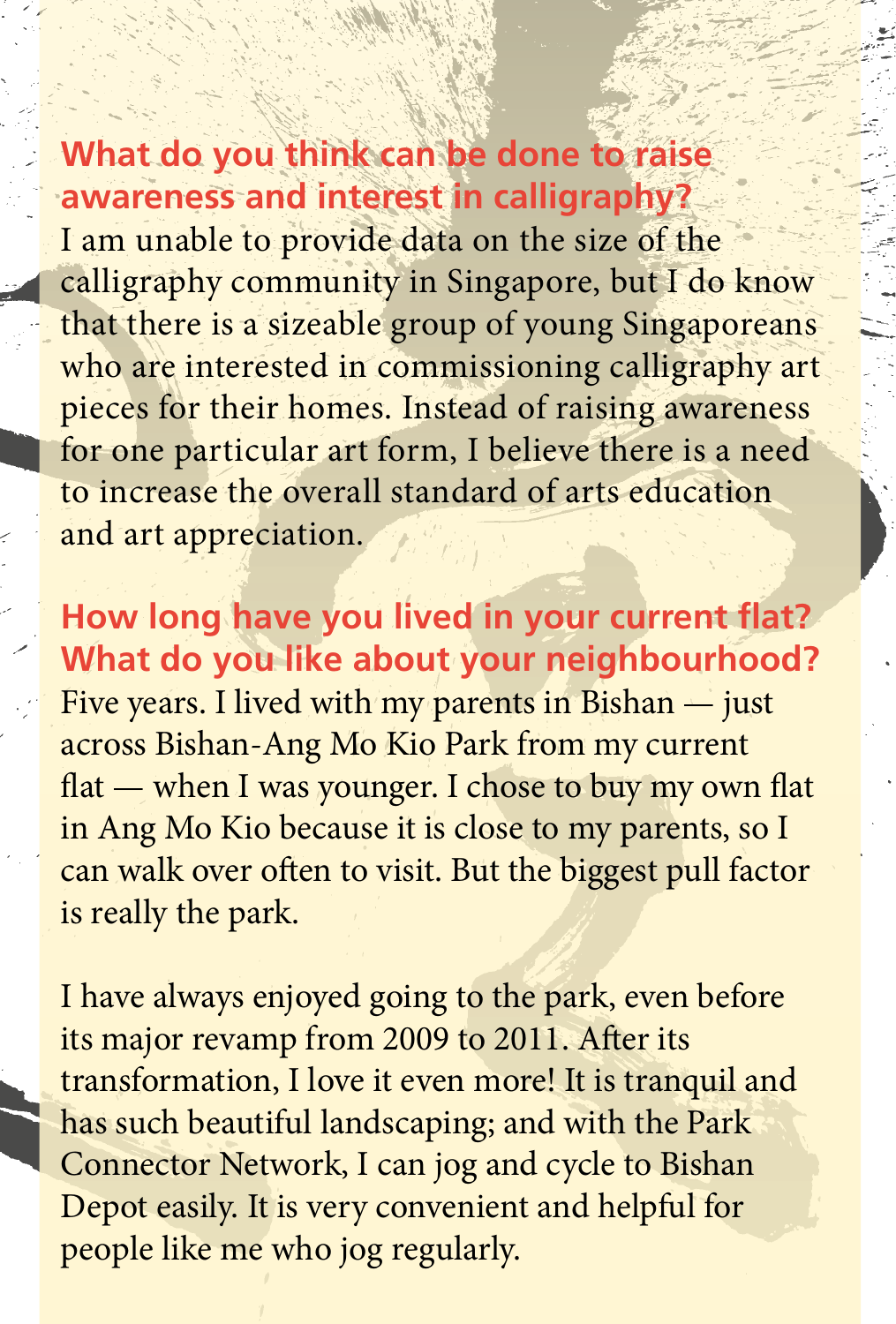#### **What do you think can be done to raise awareness and interest in calligraphy?**

I am unable to provide data on the size of the calligraphy community in Singapore, but I do know that there is a sizeable group of young Singaporeans who are interested in commissioning calligraphy art pieces for their homes. Instead of raising awareness for one particular art form, I believe there is a need to increase the overall standard of arts education and art appreciation.

**How long have you lived in your current flat? What do you like about your neighbourhood?** Five years. I lived with my parents in Bishan — just across Bishan-Ang Mo Kio Park from my current flat — when I was younger. I chose to buy my own flat in Ang Mo Kio because it is close to my parents, so I can walk over often to visit. But the biggest pull factor is really the park.

I have always enjoyed going to the park, even before its major revamp from 2009 to 2011. After its transformation, I love it even more! It is tranquil and has such beautiful landscaping; and with the Park Connector Network, I can jog and cycle to Bishan Depot easily. It is very convenient and helpful for people like me who jog regularly.